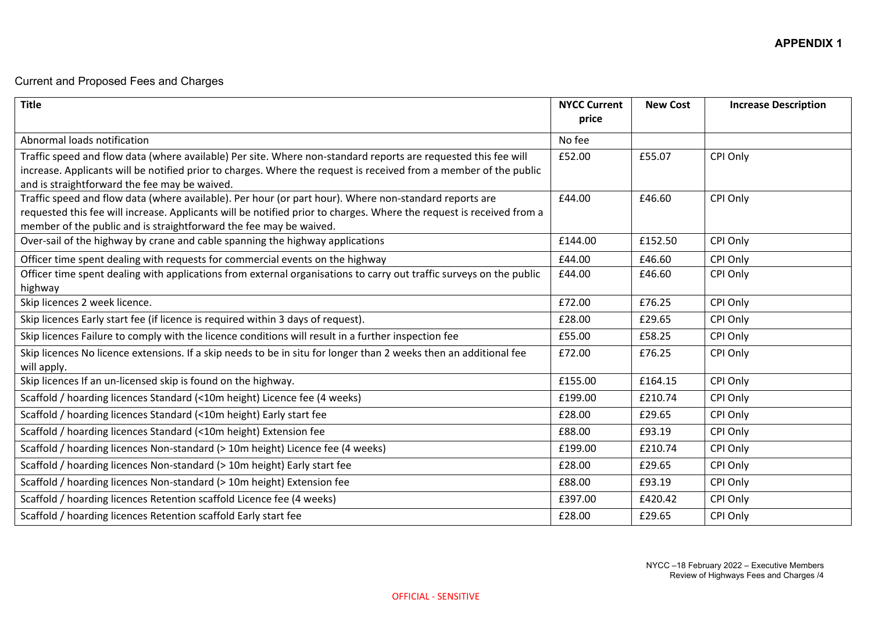## Current and Proposed Fees and Charges

| <b>Title</b>                                                                                                                                                       | <b>NYCC Current</b><br>price | <b>New Cost</b> | <b>Increase Description</b> |
|--------------------------------------------------------------------------------------------------------------------------------------------------------------------|------------------------------|-----------------|-----------------------------|
| Abnormal loads notification                                                                                                                                        | No fee                       |                 |                             |
| Traffic speed and flow data (where available) Per site. Where non-standard reports are requested this fee will                                                     | £52.00                       | £55.07          | CPI Only                    |
| increase. Applicants will be notified prior to charges. Where the request is received from a member of the public<br>and is straightforward the fee may be waived. |                              |                 |                             |
| Traffic speed and flow data (where available). Per hour (or part hour). Where non-standard reports are                                                             | £44.00                       | £46.60          | CPI Only                    |
| requested this fee will increase. Applicants will be notified prior to charges. Where the request is received from a                                               |                              |                 |                             |
| member of the public and is straightforward the fee may be waived.                                                                                                 |                              |                 |                             |
| Over-sail of the highway by crane and cable spanning the highway applications                                                                                      | £144.00                      | £152.50         | CPI Only                    |
| Officer time spent dealing with requests for commercial events on the highway                                                                                      | £44.00                       | £46.60          | CPI Only                    |
| Officer time spent dealing with applications from external organisations to carry out traffic surveys on the public<br>highway                                     | £44.00                       | £46.60          | CPI Only                    |
| Skip licences 2 week licence.                                                                                                                                      | £72.00                       | £76.25          | CPI Only                    |
| Skip licences Early start fee (if licence is required within 3 days of request).                                                                                   | £28.00                       | £29.65          | CPI Only                    |
| Skip licences Failure to comply with the licence conditions will result in a further inspection fee                                                                | £55.00                       | £58.25          | CPI Only                    |
| Skip licences No licence extensions. If a skip needs to be in situ for longer than 2 weeks then an additional fee<br>will apply.                                   | £72.00                       | £76.25          | CPI Only                    |
| Skip licences If an un-licensed skip is found on the highway.                                                                                                      | £155.00                      | £164.15         | CPI Only                    |
| Scaffold / hoarding licences Standard (<10m height) Licence fee (4 weeks)                                                                                          | £199.00                      | £210.74         | CPI Only                    |
| Scaffold / hoarding licences Standard (<10m height) Early start fee                                                                                                | £28.00                       | £29.65          | CPI Only                    |
| Scaffold / hoarding licences Standard (<10m height) Extension fee                                                                                                  | £88.00                       | £93.19          | CPI Only                    |
| Scaffold / hoarding licences Non-standard (> 10m height) Licence fee (4 weeks)                                                                                     | £199.00                      | £210.74         | CPI Only                    |
| Scaffold / hoarding licences Non-standard (> 10m height) Early start fee                                                                                           | £28.00                       | £29.65          | CPI Only                    |
| Scaffold / hoarding licences Non-standard (> 10m height) Extension fee                                                                                             | £88.00                       | £93.19          | CPI Only                    |
| Scaffold / hoarding licences Retention scaffold Licence fee (4 weeks)                                                                                              | £397.00                      | £420.42         | CPI Only                    |
| Scaffold / hoarding licences Retention scaffold Early start fee                                                                                                    | £28.00                       | £29.65          | CPI Only                    |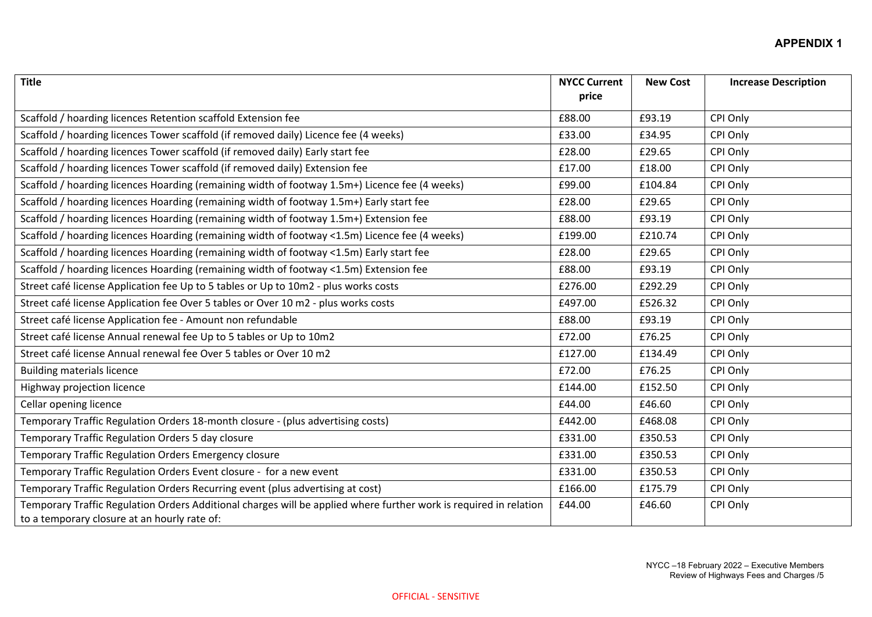| <b>Title</b>                                                                                                                                                      | <b>NYCC Current</b><br>price | <b>New Cost</b> | <b>Increase Description</b> |
|-------------------------------------------------------------------------------------------------------------------------------------------------------------------|------------------------------|-----------------|-----------------------------|
|                                                                                                                                                                   |                              |                 |                             |
| Scaffold / hoarding licences Retention scaffold Extension fee                                                                                                     | £88.00                       | £93.19          | CPI Only                    |
| Scaffold / hoarding licences Tower scaffold (if removed daily) Licence fee (4 weeks)                                                                              | £33.00                       | £34.95          | CPI Only                    |
| Scaffold / hoarding licences Tower scaffold (if removed daily) Early start fee                                                                                    | £28.00                       | £29.65          | CPI Only                    |
| Scaffold / hoarding licences Tower scaffold (if removed daily) Extension fee                                                                                      | £17.00                       | £18.00          | CPI Only                    |
| Scaffold / hoarding licences Hoarding (remaining width of footway 1.5m+) Licence fee (4 weeks)                                                                    | £99.00                       | £104.84         | CPI Only                    |
| Scaffold / hoarding licences Hoarding (remaining width of footway 1.5m+) Early start fee                                                                          | £28.00                       | £29.65          | CPI Only                    |
| Scaffold / hoarding licences Hoarding (remaining width of footway 1.5m+) Extension fee                                                                            | £88.00                       | £93.19          | CPI Only                    |
| Scaffold / hoarding licences Hoarding (remaining width of footway <1.5m) Licence fee (4 weeks)                                                                    | £199.00                      | £210.74         | CPI Only                    |
| Scaffold / hoarding licences Hoarding (remaining width of footway <1.5m) Early start fee                                                                          | £28.00                       | £29.65          | CPI Only                    |
| Scaffold / hoarding licences Hoarding (remaining width of footway <1.5m) Extension fee                                                                            | £88.00                       | £93.19          | CPI Only                    |
| Street café license Application fee Up to 5 tables or Up to 10m2 - plus works costs                                                                               | £276.00                      | £292.29         | CPI Only                    |
| Street café license Application fee Over 5 tables or Over 10 m2 - plus works costs                                                                                | £497.00                      | £526.32         | CPI Only                    |
| Street café license Application fee - Amount non refundable                                                                                                       | £88.00                       | £93.19          | CPI Only                    |
| Street café license Annual renewal fee Up to 5 tables or Up to 10m2                                                                                               | £72.00                       | £76.25          | CPI Only                    |
| Street café license Annual renewal fee Over 5 tables or Over 10 m2                                                                                                | £127.00                      | £134.49         | CPI Only                    |
| <b>Building materials licence</b>                                                                                                                                 | £72.00                       | £76.25          | CPI Only                    |
| Highway projection licence                                                                                                                                        | £144.00                      | £152.50         | CPI Only                    |
| Cellar opening licence                                                                                                                                            | £44.00                       | £46.60          | CPI Only                    |
| Temporary Traffic Regulation Orders 18-month closure - (plus advertising costs)                                                                                   | £442.00                      | £468.08         | CPI Only                    |
| Temporary Traffic Regulation Orders 5 day closure                                                                                                                 | £331.00                      | £350.53         | CPI Only                    |
| Temporary Traffic Regulation Orders Emergency closure                                                                                                             | £331.00                      | £350.53         | CPI Only                    |
| Temporary Traffic Regulation Orders Event closure - for a new event                                                                                               | £331.00                      | £350.53         | CPI Only                    |
| Temporary Traffic Regulation Orders Recurring event (plus advertising at cost)                                                                                    | £166.00                      | £175.79         | CPI Only                    |
| Temporary Traffic Regulation Orders Additional charges will be applied where further work is required in relation<br>to a temporary closure at an hourly rate of: | £44.00                       | £46.60          | CPI Only                    |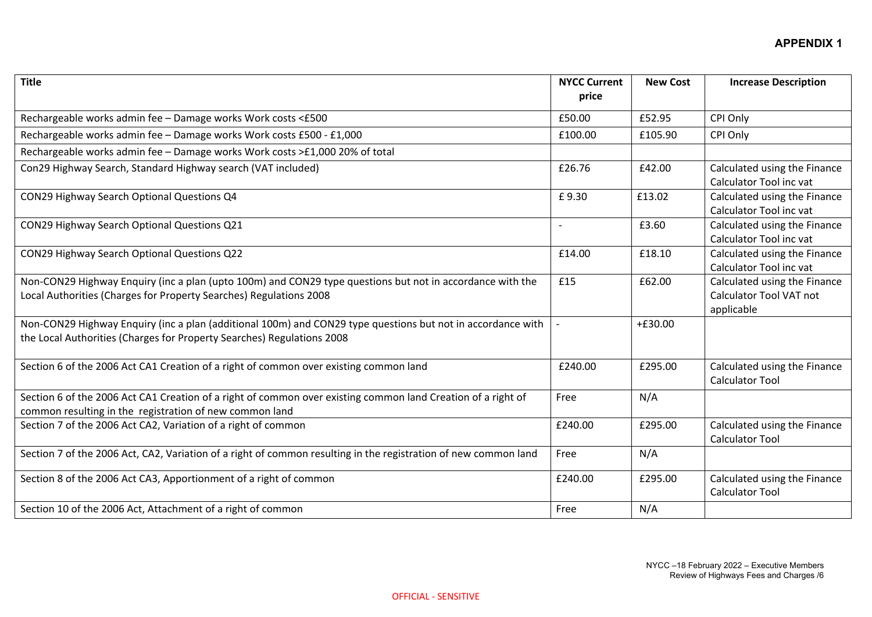| <b>Title</b>                                                                                                                                                                          | <b>NYCC Current</b><br>price | <b>New Cost</b> | <b>Increase Description</b>                                           |
|---------------------------------------------------------------------------------------------------------------------------------------------------------------------------------------|------------------------------|-----------------|-----------------------------------------------------------------------|
| Rechargeable works admin fee - Damage works Work costs <£500                                                                                                                          | £50.00                       | £52.95          | CPI Only                                                              |
| Rechargeable works admin fee - Damage works Work costs £500 - £1,000                                                                                                                  | £100.00                      | £105.90         | CPI Only                                                              |
| Rechargeable works admin fee - Damage works Work costs >£1,000 20% of total                                                                                                           |                              |                 |                                                                       |
| Con29 Highway Search, Standard Highway search (VAT included)                                                                                                                          | £26.76                       | £42.00          | Calculated using the Finance<br>Calculator Tool inc vat               |
| CON29 Highway Search Optional Questions Q4                                                                                                                                            | £9.30                        | £13.02          | Calculated using the Finance<br>Calculator Tool inc vat               |
| CON29 Highway Search Optional Questions Q21                                                                                                                                           |                              | £3.60           | Calculated using the Finance<br>Calculator Tool inc vat               |
| CON29 Highway Search Optional Questions Q22                                                                                                                                           | £14.00                       | £18.10          | Calculated using the Finance<br>Calculator Tool inc vat               |
| Non-CON29 Highway Enquiry (inc a plan (upto 100m) and CON29 type questions but not in accordance with the<br>Local Authorities (Charges for Property Searches) Regulations 2008       | £15                          | £62.00          | Calculated using the Finance<br>Calculator Tool VAT not<br>applicable |
| Non-CON29 Highway Enquiry (inc a plan (additional 100m) and CON29 type questions but not in accordance with<br>the Local Authorities (Charges for Property Searches) Regulations 2008 |                              | $+£30.00$       |                                                                       |
| Section 6 of the 2006 Act CA1 Creation of a right of common over existing common land                                                                                                 | £240.00                      | £295.00         | Calculated using the Finance<br><b>Calculator Tool</b>                |
| Section 6 of the 2006 Act CA1 Creation of a right of common over existing common land Creation of a right of<br>common resulting in the registration of new common land               | Free                         | N/A             |                                                                       |
| Section 7 of the 2006 Act CA2, Variation of a right of common                                                                                                                         | £240.00                      | £295.00         | Calculated using the Finance<br><b>Calculator Tool</b>                |
| Section 7 of the 2006 Act, CA2, Variation of a right of common resulting in the registration of new common land                                                                       | Free                         | N/A             |                                                                       |
| Section 8 of the 2006 Act CA3, Apportionment of a right of common                                                                                                                     | £240.00                      | £295.00         | Calculated using the Finance<br><b>Calculator Tool</b>                |
| Section 10 of the 2006 Act, Attachment of a right of common                                                                                                                           | Free                         | N/A             |                                                                       |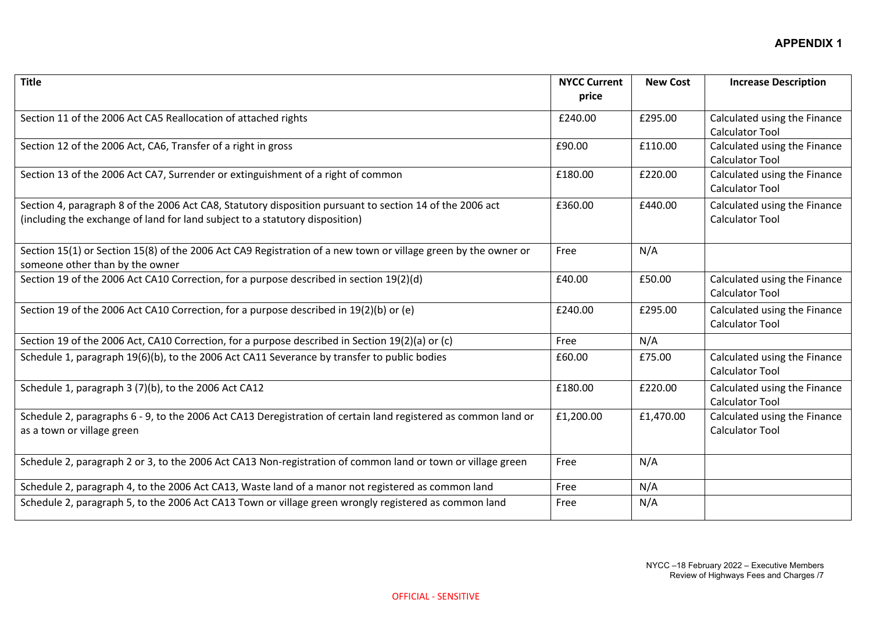| <b>Title</b>                                                                                                   | <b>NYCC Current</b> | <b>New Cost</b> | <b>Increase Description</b>  |
|----------------------------------------------------------------------------------------------------------------|---------------------|-----------------|------------------------------|
|                                                                                                                | price               |                 |                              |
| Section 11 of the 2006 Act CA5 Reallocation of attached rights                                                 | £240.00             | £295.00         | Calculated using the Finance |
|                                                                                                                |                     |                 | <b>Calculator Tool</b>       |
| Section 12 of the 2006 Act, CA6, Transfer of a right in gross                                                  | £90.00              | £110.00         | Calculated using the Finance |
|                                                                                                                |                     |                 | <b>Calculator Tool</b>       |
| Section 13 of the 2006 Act CA7, Surrender or extinguishment of a right of common                               | £180.00             | £220.00         | Calculated using the Finance |
|                                                                                                                |                     |                 | <b>Calculator Tool</b>       |
| Section 4, paragraph 8 of the 2006 Act CA8, Statutory disposition pursuant to section 14 of the 2006 act       | £360.00             | £440.00         | Calculated using the Finance |
| (including the exchange of land for land subject to a statutory disposition)                                   |                     |                 | <b>Calculator Tool</b>       |
|                                                                                                                |                     |                 |                              |
| Section 15(1) or Section 15(8) of the 2006 Act CA9 Registration of a new town or village green by the owner or | Free                | N/A             |                              |
| someone other than by the owner                                                                                |                     |                 |                              |
| Section 19 of the 2006 Act CA10 Correction, for a purpose described in section 19(2)(d)                        | £40.00              | £50.00          | Calculated using the Finance |
|                                                                                                                |                     |                 | <b>Calculator Tool</b>       |
| Section 19 of the 2006 Act CA10 Correction, for a purpose described in 19(2)(b) or (e)                         | £240.00             | £295.00         | Calculated using the Finance |
|                                                                                                                |                     |                 | <b>Calculator Tool</b>       |
| Section 19 of the 2006 Act, CA10 Correction, for a purpose described in Section 19(2)(a) or (c)                | Free                | N/A             |                              |
| Schedule 1, paragraph 19(6)(b), to the 2006 Act CA11 Severance by transfer to public bodies                    | £60.00              | £75.00          | Calculated using the Finance |
|                                                                                                                |                     |                 | <b>Calculator Tool</b>       |
| Schedule 1, paragraph 3 (7)(b), to the 2006 Act CA12                                                           | £180.00             | £220.00         | Calculated using the Finance |
|                                                                                                                |                     |                 | <b>Calculator Tool</b>       |
| Schedule 2, paragraphs 6 - 9, to the 2006 Act CA13 Deregistration of certain land registered as common land or | £1,200.00           | £1,470.00       | Calculated using the Finance |
| as a town or village green                                                                                     |                     |                 | <b>Calculator Tool</b>       |
|                                                                                                                |                     |                 |                              |
| Schedule 2, paragraph 2 or 3, to the 2006 Act CA13 Non-registration of common land or town or village green    | Free                | N/A             |                              |
|                                                                                                                |                     |                 |                              |
| Schedule 2, paragraph 4, to the 2006 Act CA13, Waste land of a manor not registered as common land             | Free                | N/A             |                              |
| Schedule 2, paragraph 5, to the 2006 Act CA13 Town or village green wrongly registered as common land          | Free                | N/A             |                              |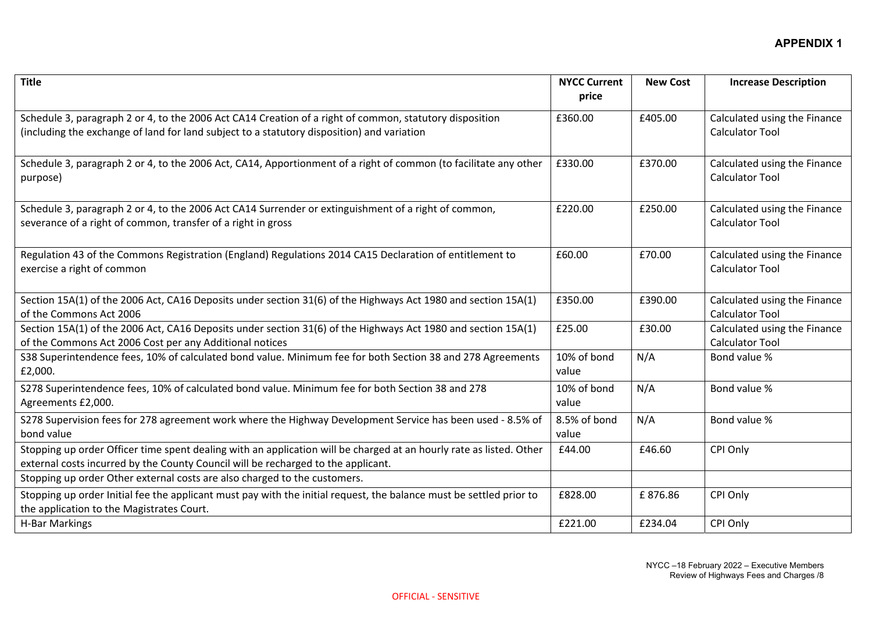| <b>Title</b>                                                                                                                                                                                             | <b>NYCC Current</b><br>price | <b>New Cost</b> | <b>Increase Description</b>                            |
|----------------------------------------------------------------------------------------------------------------------------------------------------------------------------------------------------------|------------------------------|-----------------|--------------------------------------------------------|
| Schedule 3, paragraph 2 or 4, to the 2006 Act CA14 Creation of a right of common, statutory disposition<br>(including the exchange of land for land subject to a statutory disposition) and variation    | £360.00                      | £405.00         | Calculated using the Finance<br><b>Calculator Tool</b> |
| Schedule 3, paragraph 2 or 4, to the 2006 Act, CA14, Apportionment of a right of common (to facilitate any other<br>purpose)                                                                             | £330.00                      | £370.00         | Calculated using the Finance<br><b>Calculator Tool</b> |
| Schedule 3, paragraph 2 or 4, to the 2006 Act CA14 Surrender or extinguishment of a right of common,<br>severance of a right of common, transfer of a right in gross                                     | £220.00                      | £250.00         | Calculated using the Finance<br><b>Calculator Tool</b> |
| Regulation 43 of the Commons Registration (England) Regulations 2014 CA15 Declaration of entitlement to<br>exercise a right of common                                                                    | £60.00                       | £70.00          | Calculated using the Finance<br><b>Calculator Tool</b> |
| Section 15A(1) of the 2006 Act, CA16 Deposits under section 31(6) of the Highways Act 1980 and section 15A(1)<br>of the Commons Act 2006                                                                 | £350.00                      | £390.00         | Calculated using the Finance<br><b>Calculator Tool</b> |
| Section 15A(1) of the 2006 Act, CA16 Deposits under section 31(6) of the Highways Act 1980 and section 15A(1)<br>of the Commons Act 2006 Cost per any Additional notices                                 | £25.00                       | £30.00          | Calculated using the Finance<br><b>Calculator Tool</b> |
| S38 Superintendence fees, 10% of calculated bond value. Minimum fee for both Section 38 and 278 Agreements<br>£2,000.                                                                                    | 10% of bond<br>value         | N/A             | Bond value %                                           |
| S278 Superintendence fees, 10% of calculated bond value. Minimum fee for both Section 38 and 278<br>Agreements £2,000.                                                                                   | 10% of bond<br>value         | N/A             | Bond value %                                           |
| S278 Supervision fees for 278 agreement work where the Highway Development Service has been used - 8.5% of<br>bond value                                                                                 | 8.5% of bond<br>value        | N/A             | Bond value %                                           |
| Stopping up order Officer time spent dealing with an application will be charged at an hourly rate as listed. Other<br>external costs incurred by the County Council will be recharged to the applicant. | £44.00                       | £46.60          | CPI Only                                               |
| Stopping up order Other external costs are also charged to the customers.                                                                                                                                |                              |                 |                                                        |
| Stopping up order Initial fee the applicant must pay with the initial request, the balance must be settled prior to<br>the application to the Magistrates Court.                                         | £828.00                      | £876.86         | CPI Only                                               |
| <b>H-Bar Markings</b>                                                                                                                                                                                    | £221.00                      | £234.04         | CPI Only                                               |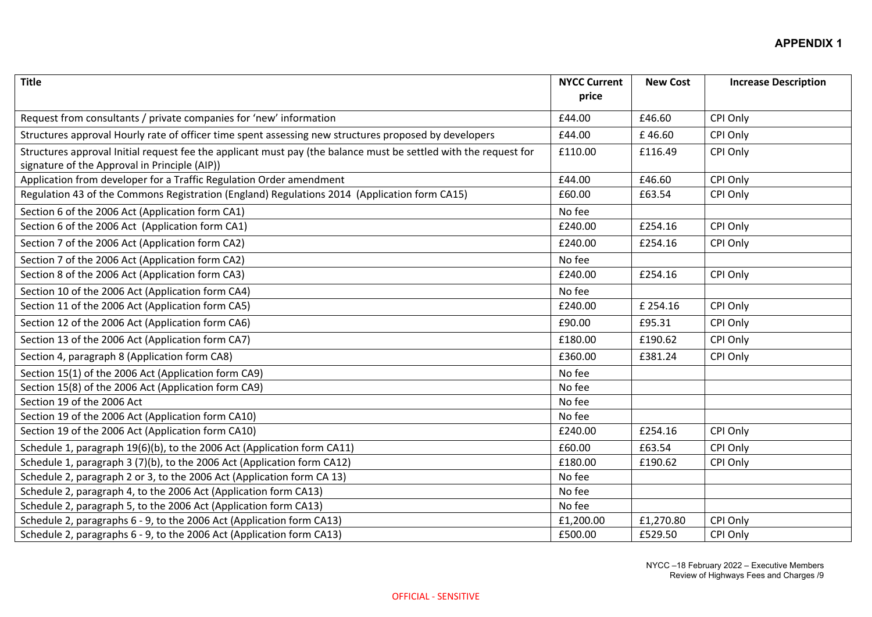| <b>Title</b>                                                                                                                                                      | <b>NYCC Current</b><br>price | <b>New Cost</b> | <b>Increase Description</b> |
|-------------------------------------------------------------------------------------------------------------------------------------------------------------------|------------------------------|-----------------|-----------------------------|
| Request from consultants / private companies for 'new' information                                                                                                | £44.00                       | £46.60          | CPI Only                    |
| Structures approval Hourly rate of officer time spent assessing new structures proposed by developers                                                             | £44.00                       | £46.60          | CPI Only                    |
| Structures approval Initial request fee the applicant must pay (the balance must be settled with the request for<br>signature of the Approval in Principle (AIP)) | £110.00                      | £116.49         | CPI Only                    |
| Application from developer for a Traffic Regulation Order amendment                                                                                               | £44.00                       | £46.60          | CPI Only                    |
| Regulation 43 of the Commons Registration (England) Regulations 2014 (Application form CA15)                                                                      | £60.00                       | £63.54          | CPI Only                    |
| Section 6 of the 2006 Act (Application form CA1)                                                                                                                  | No fee                       |                 |                             |
| Section 6 of the 2006 Act (Application form CA1)                                                                                                                  | £240.00                      | £254.16         | CPI Only                    |
| Section 7 of the 2006 Act (Application form CA2)                                                                                                                  | £240.00                      | £254.16         | CPI Only                    |
| Section 7 of the 2006 Act (Application form CA2)                                                                                                                  | No fee                       |                 |                             |
| Section 8 of the 2006 Act (Application form CA3)                                                                                                                  | £240.00                      | £254.16         | CPI Only                    |
| Section 10 of the 2006 Act (Application form CA4)                                                                                                                 | No fee                       |                 |                             |
| Section 11 of the 2006 Act (Application form CA5)                                                                                                                 | £240.00                      | £ 254.16        | CPI Only                    |
| Section 12 of the 2006 Act (Application form CA6)                                                                                                                 | £90.00                       | £95.31          | CPI Only                    |
| Section 13 of the 2006 Act (Application form CA7)                                                                                                                 | £180.00                      | £190.62         | CPI Only                    |
| Section 4, paragraph 8 (Application form CA8)                                                                                                                     | £360.00                      | £381.24         | CPI Only                    |
| Section 15(1) of the 2006 Act (Application form CA9)                                                                                                              | No fee                       |                 |                             |
| Section 15(8) of the 2006 Act (Application form CA9)                                                                                                              | No fee                       |                 |                             |
| Section 19 of the 2006 Act                                                                                                                                        | No fee                       |                 |                             |
| Section 19 of the 2006 Act (Application form CA10)                                                                                                                | No fee                       |                 |                             |
| Section 19 of the 2006 Act (Application form CA10)                                                                                                                | £240.00                      | £254.16         | CPI Only                    |
| Schedule 1, paragraph 19(6)(b), to the 2006 Act (Application form CA11)                                                                                           | £60.00                       | £63.54          | CPI Only                    |
| Schedule 1, paragraph 3 (7)(b), to the 2006 Act (Application form CA12)                                                                                           | £180.00                      | £190.62         | CPI Only                    |
| Schedule 2, paragraph 2 or 3, to the 2006 Act (Application form CA 13)                                                                                            | No fee                       |                 |                             |
| Schedule 2, paragraph 4, to the 2006 Act (Application form CA13)                                                                                                  | No fee                       |                 |                             |
| Schedule 2, paragraph 5, to the 2006 Act (Application form CA13)                                                                                                  | No fee                       |                 |                             |
| Schedule 2, paragraphs 6 - 9, to the 2006 Act (Application form CA13)                                                                                             | £1,200.00                    | £1,270.80       | CPI Only                    |
| Schedule 2, paragraphs 6 - 9, to the 2006 Act (Application form CA13)                                                                                             | £500.00                      | £529.50         | CPI Only                    |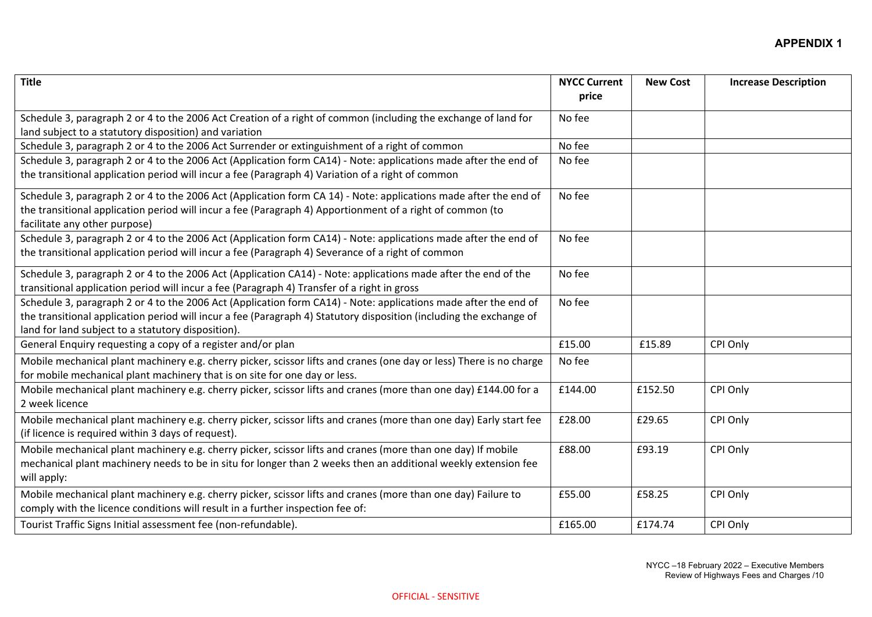| <b>Title</b>                                                                                                                                                                                                                                                                                 | <b>NYCC Current</b><br>price | <b>New Cost</b> | <b>Increase Description</b> |
|----------------------------------------------------------------------------------------------------------------------------------------------------------------------------------------------------------------------------------------------------------------------------------------------|------------------------------|-----------------|-----------------------------|
| Schedule 3, paragraph 2 or 4 to the 2006 Act Creation of a right of common (including the exchange of land for                                                                                                                                                                               | No fee                       |                 |                             |
| land subject to a statutory disposition) and variation                                                                                                                                                                                                                                       |                              |                 |                             |
| Schedule 3, paragraph 2 or 4 to the 2006 Act Surrender or extinguishment of a right of common                                                                                                                                                                                                | No fee                       |                 |                             |
| Schedule 3, paragraph 2 or 4 to the 2006 Act (Application form CA14) - Note: applications made after the end of<br>the transitional application period will incur a fee (Paragraph 4) Variation of a right of common                                                                         | No fee                       |                 |                             |
| Schedule 3, paragraph 2 or 4 to the 2006 Act (Application form CA 14) - Note: applications made after the end of<br>the transitional application period will incur a fee (Paragraph 4) Apportionment of a right of common (to<br>facilitate any other purpose)                               | No fee                       |                 |                             |
| Schedule 3, paragraph 2 or 4 to the 2006 Act (Application form CA14) - Note: applications made after the end of<br>the transitional application period will incur a fee (Paragraph 4) Severance of a right of common                                                                         | No fee                       |                 |                             |
| Schedule 3, paragraph 2 or 4 to the 2006 Act (Application CA14) - Note: applications made after the end of the<br>transitional application period will incur a fee (Paragraph 4) Transfer of a right in gross                                                                                | No fee                       |                 |                             |
| Schedule 3, paragraph 2 or 4 to the 2006 Act (Application form CA14) - Note: applications made after the end of<br>the transitional application period will incur a fee (Paragraph 4) Statutory disposition (including the exchange of<br>land for land subject to a statutory disposition). | No fee                       |                 |                             |
| General Enquiry requesting a copy of a register and/or plan                                                                                                                                                                                                                                  | £15.00                       | £15.89          | CPI Only                    |
| Mobile mechanical plant machinery e.g. cherry picker, scissor lifts and cranes (one day or less) There is no charge<br>for mobile mechanical plant machinery that is on site for one day or less.                                                                                            | No fee                       |                 |                             |
| Mobile mechanical plant machinery e.g. cherry picker, scissor lifts and cranes (more than one day) £144.00 for a<br>2 week licence                                                                                                                                                           | £144.00                      | £152.50         | CPI Only                    |
| Mobile mechanical plant machinery e.g. cherry picker, scissor lifts and cranes (more than one day) Early start fee<br>(if licence is required within 3 days of request).                                                                                                                     | £28.00                       | £29.65          | CPI Only                    |
| Mobile mechanical plant machinery e.g. cherry picker, scissor lifts and cranes (more than one day) If mobile<br>mechanical plant machinery needs to be in situ for longer than 2 weeks then an additional weekly extension fee<br>will apply:                                                | £88.00                       | £93.19          | CPI Only                    |
| Mobile mechanical plant machinery e.g. cherry picker, scissor lifts and cranes (more than one day) Failure to<br>comply with the licence conditions will result in a further inspection fee of:                                                                                              | £55.00                       | £58.25          | CPI Only                    |
| Tourist Traffic Signs Initial assessment fee (non-refundable).                                                                                                                                                                                                                               | £165.00                      | £174.74         | CPI Only                    |